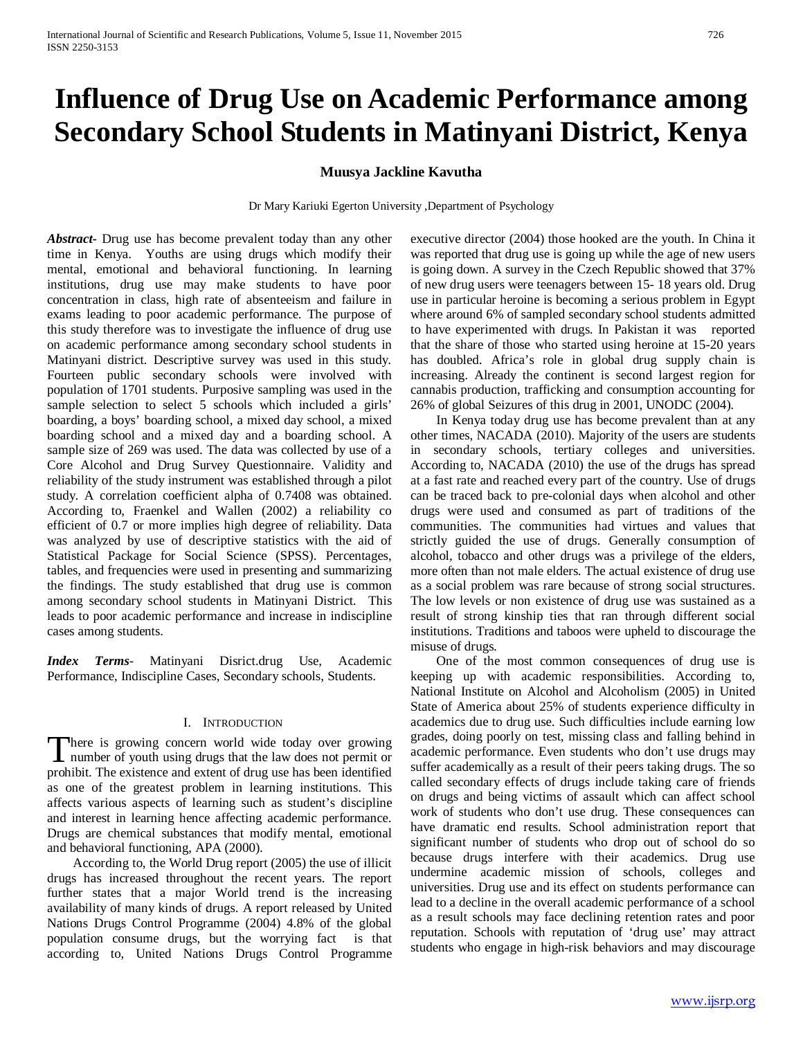# **Influence of Drug Use on Academic Performance among Secondary School Students in Matinyani District, Kenya**

# **Muusya Jackline Kavutha**

Dr Mary Kariuki Egerton University ,Department of Psychology

*Abstract***-** Drug use has become prevalent today than any other time in Kenya. Youths are using drugs which modify their mental, emotional and behavioral functioning. In learning institutions, drug use may make students to have poor concentration in class, high rate of absenteeism and failure in exams leading to poor academic performance. The purpose of this study therefore was to investigate the influence of drug use on academic performance among secondary school students in Matinyani district. Descriptive survey was used in this study. Fourteen public secondary schools were involved with population of 1701 students. Purposive sampling was used in the sample selection to select 5 schools which included a girls' boarding, a boys' boarding school, a mixed day school, a mixed boarding school and a mixed day and a boarding school. A sample size of 269 was used. The data was collected by use of a Core Alcohol and Drug Survey Questionnaire. Validity and reliability of the study instrument was established through a pilot study. A correlation coefficient alpha of 0.7408 was obtained. According to, Fraenkel and Wallen (2002) a reliability co efficient of 0.7 or more implies high degree of reliability. Data was analyzed by use of descriptive statistics with the aid of Statistical Package for Social Science (SPSS). Percentages, tables, and frequencies were used in presenting and summarizing the findings. The study established that drug use is common among secondary school students in Matinyani District. This leads to poor academic performance and increase in indiscipline cases among students.

*Index Terms*- Matinyani Disrict.drug Use, Academic Performance, Indiscipline Cases, Secondary schools, Students.

## I. INTRODUCTION

here is growing concern world wide today over growing number of youth using drugs that the law does not permit or There is growing concern world wide today over growing<br>number of youth using drugs that the law does not permit or<br>prohibit. The existence and extent of drug use has been identified as one of the greatest problem in learning institutions. This affects various aspects of learning such as student's discipline and interest in learning hence affecting academic performance. Drugs are chemical substances that modify mental, emotional and behavioral functioning, APA (2000).

 According to, the World Drug report (2005) the use of illicit drugs has increased throughout the recent years. The report further states that a major World trend is the increasing availability of many kinds of drugs. A report released by United Nations Drugs Control Programme (2004) 4.8% of the global population consume drugs, but the worrying fact is that according to, United Nations Drugs Control Programme executive director (2004) those hooked are the youth. In China it was reported that drug use is going up while the age of new users is going down. A survey in the Czech Republic showed that 37% of new drug users were teenagers between 15- 18 years old. Drug use in particular heroine is becoming a serious problem in Egypt where around 6% of sampled secondary school students admitted to have experimented with drugs. In Pakistan it was reported that the share of those who started using heroine at 15-20 years has doubled. Africa's role in global drug supply chain is increasing. Already the continent is second largest region for cannabis production, trafficking and consumption accounting for 26% of global Seizures of this drug in 2001, UNODC (2004).

 In Kenya today drug use has become prevalent than at any other times, NACADA (2010). Majority of the users are students in secondary schools, tertiary colleges and universities. According to, NACADA (2010) the use of the drugs has spread at a fast rate and reached every part of the country. Use of drugs can be traced back to pre-colonial days when alcohol and other drugs were used and consumed as part of traditions of the communities. The communities had virtues and values that strictly guided the use of drugs. Generally consumption of alcohol, tobacco and other drugs was a privilege of the elders, more often than not male elders. The actual existence of drug use as a social problem was rare because of strong social structures. The low levels or non existence of drug use was sustained as a result of strong kinship ties that ran through different social institutions. Traditions and taboos were upheld to discourage the misuse of drugs.

 One of the most common consequences of drug use is keeping up with academic responsibilities. According to, National Institute on Alcohol and Alcoholism (2005) in United State of America about 25% of students experience difficulty in academics due to drug use. Such difficulties include earning low grades, doing poorly on test, missing class and falling behind in academic performance. Even students who don't use drugs may suffer academically as a result of their peers taking drugs. The so called secondary effects of drugs include taking care of friends on drugs and being victims of assault which can affect school work of students who don't use drug. These consequences can have dramatic end results. School administration report that significant number of students who drop out of school do so because drugs interfere with their academics. Drug use undermine academic mission of schools, colleges and universities. Drug use and its effect on students performance can lead to a decline in the overall academic performance of a school as a result schools may face declining retention rates and poor reputation. Schools with reputation of 'drug use' may attract students who engage in high-risk behaviors and may discourage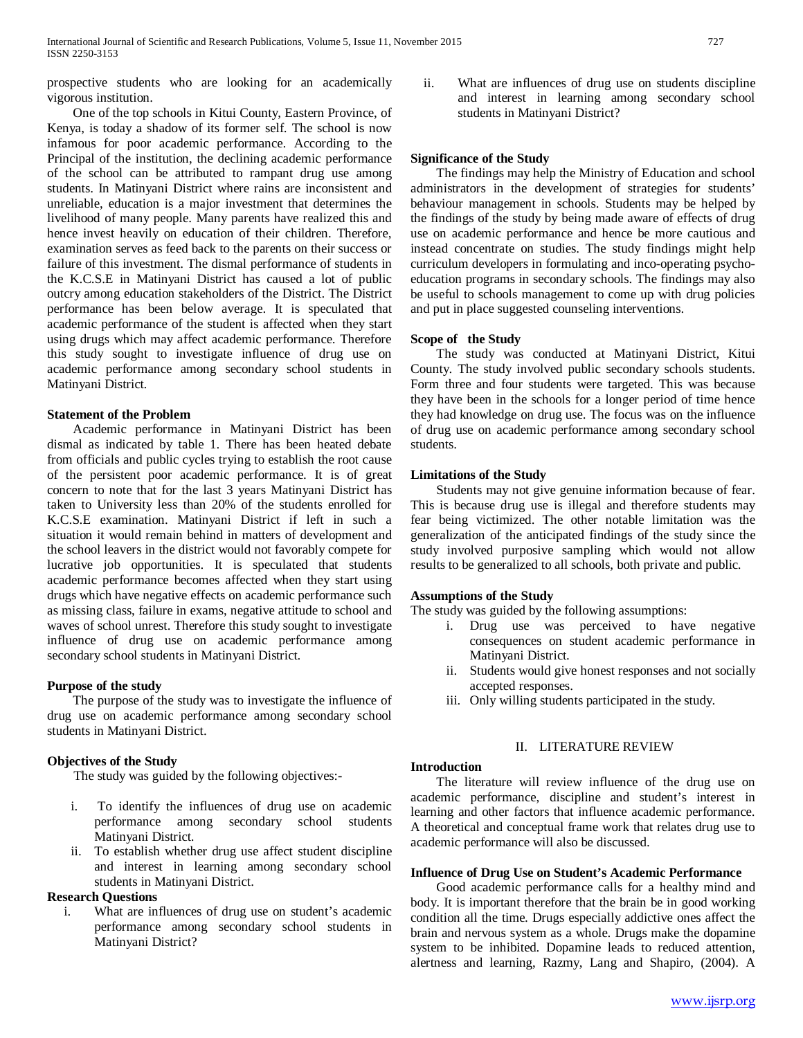prospective students who are looking for an academically vigorous institution.

 One of the top schools in Kitui County, Eastern Province, of Kenya, is today a shadow of its former self. The school is now infamous for poor academic performance. According to the Principal of the institution, the declining academic performance of the school can be attributed to rampant drug use among students. In Matinyani District where rains are inconsistent and unreliable, education is a major investment that determines the livelihood of many people. Many parents have realized this and hence invest heavily on education of their children. Therefore, examination serves as feed back to the parents on their success or failure of this investment. The dismal performance of students in the K.C.S.E in Matinyani District has caused a lot of public outcry among education stakeholders of the District. The District performance has been below average. It is speculated that academic performance of the student is affected when they start using drugs which may affect academic performance. Therefore this study sought to investigate influence of drug use on academic performance among secondary school students in Matinyani District.

## **Statement of the Problem**

 Academic performance in Matinyani District has been dismal as indicated by table 1. There has been heated debate from officials and public cycles trying to establish the root cause of the persistent poor academic performance. It is of great concern to note that for the last 3 years Matinyani District has taken to University less than 20% of the students enrolled for K.C.S.E examination. Matinyani District if left in such a situation it would remain behind in matters of development and the school leavers in the district would not favorably compete for lucrative job opportunities. It is speculated that students academic performance becomes affected when they start using drugs which have negative effects on academic performance such as missing class, failure in exams, negative attitude to school and waves of school unrest. Therefore this study sought to investigate influence of drug use on academic performance among secondary school students in Matinyani District.

#### **Purpose of the study**

 The purpose of the study was to investigate the influence of drug use on academic performance among secondary school students in Matinyani District.

# **Objectives of the Study**

The study was guided by the following objectives:-

- i. To identify the influences of drug use on academic performance among secondary school students Matinyani District.
- ii. To establish whether drug use affect student discipline and interest in learning among secondary school students in Matinyani District.

# **Research Questions**

i. What are influences of drug use on student's academic performance among secondary school students in Matinyani District?

ii. What are influences of drug use on students discipline and interest in learning among secondary school students in Matinyani District?

## **Significance of the Study**

 The findings may help the Ministry of Education and school administrators in the development of strategies for students' behaviour management in schools. Students may be helped by the findings of the study by being made aware of effects of drug use on academic performance and hence be more cautious and instead concentrate on studies. The study findings might help curriculum developers in formulating and inco-operating psychoeducation programs in secondary schools. The findings may also be useful to schools management to come up with drug policies and put in place suggested counseling interventions.

#### **Scope of the Study**

 The study was conducted at Matinyani District, Kitui County. The study involved public secondary schools students. Form three and four students were targeted. This was because they have been in the schools for a longer period of time hence they had knowledge on drug use. The focus was on the influence of drug use on academic performance among secondary school students.

#### **Limitations of the Study**

 Students may not give genuine information because of fear. This is because drug use is illegal and therefore students may fear being victimized. The other notable limitation was the generalization of the anticipated findings of the study since the study involved purposive sampling which would not allow results to be generalized to all schools, both private and public.

## **Assumptions of the Study**

The study was guided by the following assumptions:

- i. Drug use was perceived to have negative consequences on student academic performance in Matinyani District.
- ii. Students would give honest responses and not socially accepted responses.
- iii. Only willing students participated in the study.

# II. LITERATURE REVIEW

#### **Introduction**

 The literature will review influence of the drug use on academic performance, discipline and student's interest in learning and other factors that influence academic performance. A theoretical and conceptual frame work that relates drug use to academic performance will also be discussed.

# **Influence of Drug Use on Student's Academic Performance**

 Good academic performance calls for a healthy mind and body. It is important therefore that the brain be in good working condition all the time. Drugs especially addictive ones affect the brain and nervous system as a whole. Drugs make the dopamine system to be inhibited. Dopamine leads to reduced attention, alertness and learning, Razmy, Lang and Shapiro, (2004). A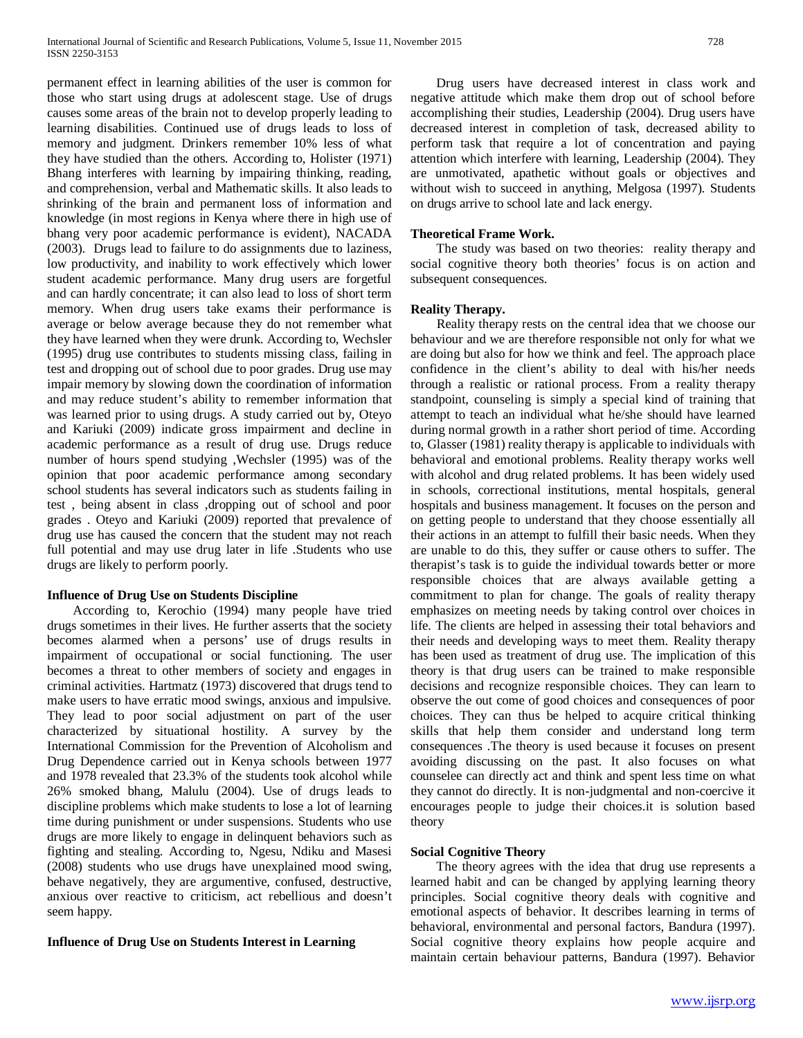permanent effect in learning abilities of the user is common for those who start using drugs at adolescent stage. Use of drugs causes some areas of the brain not to develop properly leading to learning disabilities. Continued use of drugs leads to loss of memory and judgment. Drinkers remember 10% less of what they have studied than the others. According to, Holister (1971) Bhang interferes with learning by impairing thinking, reading, and comprehension, verbal and Mathematic skills. It also leads to shrinking of the brain and permanent loss of information and knowledge (in most regions in Kenya where there in high use of bhang very poor academic performance is evident), NACADA (2003). Drugs lead to failure to do assignments due to laziness, low productivity, and inability to work effectively which lower student academic performance. Many drug users are forgetful and can hardly concentrate; it can also lead to loss of short term memory. When drug users take exams their performance is average or below average because they do not remember what they have learned when they were drunk. According to, Wechsler (1995) drug use contributes to students missing class, failing in test and dropping out of school due to poor grades. Drug use may impair memory by slowing down the coordination of information and may reduce student's ability to remember information that was learned prior to using drugs. A study carried out by, Oteyo and Kariuki (2009) indicate gross impairment and decline in academic performance as a result of drug use. Drugs reduce number of hours spend studying ,Wechsler (1995) was of the opinion that poor academic performance among secondary school students has several indicators such as students failing in test , being absent in class ,dropping out of school and poor grades . Oteyo and Kariuki (2009) reported that prevalence of drug use has caused the concern that the student may not reach full potential and may use drug later in life .Students who use drugs are likely to perform poorly.

# **Influence of Drug Use on Students Discipline**

 According to, Kerochio (1994) many people have tried drugs sometimes in their lives. He further asserts that the society becomes alarmed when a persons' use of drugs results in impairment of occupational or social functioning. The user becomes a threat to other members of society and engages in criminal activities. Hartmatz (1973) discovered that drugs tend to make users to have erratic mood swings, anxious and impulsive. They lead to poor social adjustment on part of the user characterized by situational hostility. A survey by the International Commission for the Prevention of Alcoholism and Drug Dependence carried out in Kenya schools between 1977 and 1978 revealed that 23.3% of the students took alcohol while 26% smoked bhang, Malulu (2004). Use of drugs leads to discipline problems which make students to lose a lot of learning time during punishment or under suspensions. Students who use drugs are more likely to engage in delinquent behaviors such as fighting and stealing. According to, Ngesu, Ndiku and Masesi (2008) students who use drugs have unexplained mood swing, behave negatively, they are argumentive, confused, destructive, anxious over reactive to criticism, act rebellious and doesn't seem happy.

# **Influence of Drug Use on Students Interest in Learning**

 Drug users have decreased interest in class work and negative attitude which make them drop out of school before accomplishing their studies, Leadership (2004). Drug users have decreased interest in completion of task, decreased ability to perform task that require a lot of concentration and paying attention which interfere with learning, Leadership (2004). They are unmotivated, apathetic without goals or objectives and without wish to succeed in anything, Melgosa (1997). Students on drugs arrive to school late and lack energy.

## **Theoretical Frame Work.**

 The study was based on two theories: reality therapy and social cognitive theory both theories' focus is on action and subsequent consequences.

## **Reality Therapy.**

 Reality therapy rests on the central idea that we choose our behaviour and we are therefore responsible not only for what we are doing but also for how we think and feel. The approach place confidence in the client's ability to deal with his/her needs through a realistic or rational process. From a reality therapy standpoint, counseling is simply a special kind of training that attempt to teach an individual what he/she should have learned during normal growth in a rather short period of time. According to, Glasser (1981) reality therapy is applicable to individuals with behavioral and emotional problems. Reality therapy works well with alcohol and drug related problems. It has been widely used in schools, correctional institutions, mental hospitals, general hospitals and business management. It focuses on the person and on getting people to understand that they choose essentially all their actions in an attempt to fulfill their basic needs. When they are unable to do this, they suffer or cause others to suffer. The therapist's task is to guide the individual towards better or more responsible choices that are always available getting a commitment to plan for change. The goals of reality therapy emphasizes on meeting needs by taking control over choices in life. The clients are helped in assessing their total behaviors and their needs and developing ways to meet them. Reality therapy has been used as treatment of drug use. The implication of this theory is that drug users can be trained to make responsible decisions and recognize responsible choices. They can learn to observe the out come of good choices and consequences of poor choices. They can thus be helped to acquire critical thinking skills that help them consider and understand long term consequences .The theory is used because it focuses on present avoiding discussing on the past. It also focuses on what counselee can directly act and think and spent less time on what they cannot do directly. It is non-judgmental and non-coercive it encourages people to judge their choices.it is solution based theory

## **Social Cognitive Theory**

 The theory agrees with the idea that drug use represents a learned habit and can be changed by applying learning theory principles. Social cognitive theory deals with cognitive and emotional aspects of behavior. It describes learning in terms of behavioral, environmental and personal factors, Bandura (1997). Social cognitive theory explains how people acquire and maintain certain behaviour patterns, Bandura (1997). Behavior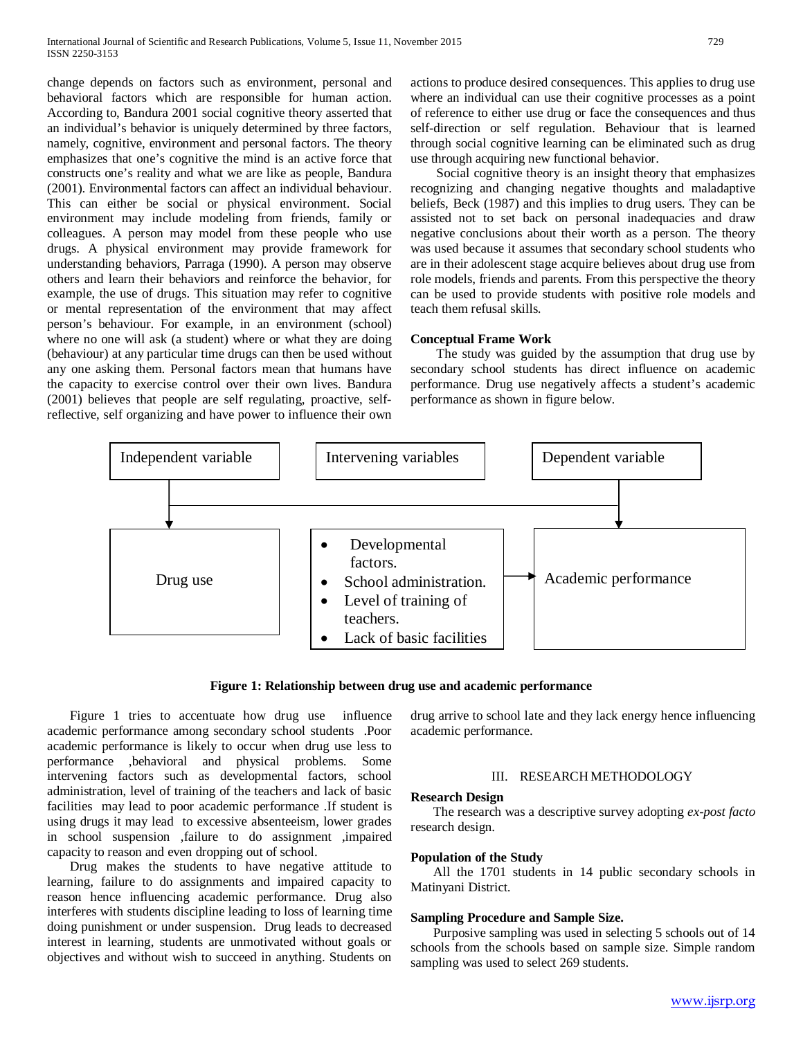change depends on factors such as environment, personal and behavioral factors which are responsible for human action. According to, Bandura 2001 social cognitive theory asserted that an individual's behavior is uniquely determined by three factors, namely, cognitive, environment and personal factors. The theory emphasizes that one's cognitive the mind is an active force that constructs one's reality and what we are like as people, Bandura (2001). Environmental factors can affect an individual behaviour. This can either be social or physical environment. Social environment may include modeling from friends, family or colleagues. A person may model from these people who use drugs. A physical environment may provide framework for understanding behaviors, Parraga (1990). A person may observe others and learn their behaviors and reinforce the behavior, for example, the use of drugs. This situation may refer to cognitive or mental representation of the environment that may affect person's behaviour. For example, in an environment (school) where no one will ask (a student) where or what they are doing (behaviour) at any particular time drugs can then be used without any one asking them. Personal factors mean that humans have the capacity to exercise control over their own lives. Bandura (2001) believes that people are self regulating, proactive, selfreflective, self organizing and have power to influence their own actions to produce desired consequences. This applies to drug use where an individual can use their cognitive processes as a point of reference to either use drug or face the consequences and thus self-direction or self regulation. Behaviour that is learned through social cognitive learning can be eliminated such as drug use through acquiring new functional behavior.

 Social cognitive theory is an insight theory that emphasizes recognizing and changing negative thoughts and maladaptive beliefs, Beck (1987) and this implies to drug users. They can be assisted not to set back on personal inadequacies and draw negative conclusions about their worth as a person. The theory was used because it assumes that secondary school students who are in their adolescent stage acquire believes about drug use from role models, friends and parents. From this perspective the theory can be used to provide students with positive role models and teach them refusal skills.

## **Conceptual Frame Work**

 The study was guided by the assumption that drug use by secondary school students has direct influence on academic performance. Drug use negatively affects a student's academic performance as shown in figure below.



#### **Figure 1: Relationship between drug use and academic performance**

 Figure 1 tries to accentuate how drug use influence academic performance among secondary school students .Poor academic performance is likely to occur when drug use less to performance ,behavioral and physical problems. Some intervening factors such as developmental factors, school administration, level of training of the teachers and lack of basic facilities may lead to poor academic performance .If student is using drugs it may lead to excessive absenteeism, lower grades in school suspension ,failure to do assignment ,impaired capacity to reason and even dropping out of school.

 Drug makes the students to have negative attitude to learning, failure to do assignments and impaired capacity to reason hence influencing academic performance. Drug also interferes with students discipline leading to loss of learning time doing punishment or under suspension. Drug leads to decreased interest in learning, students are unmotivated without goals or objectives and without wish to succeed in anything. Students on

drug arrive to school late and they lack energy hence influencing academic performance.

#### III. RESEARCH METHODOLOGY

#### **Research Design**

 The research was a descriptive survey adopting *ex-post facto* research design.

#### **Population of the Study**

 All the 1701 students in 14 public secondary schools in Matinyani District.

#### **Sampling Procedure and Sample Size.**

 Purposive sampling was used in selecting 5 schools out of 14 schools from the schools based on sample size. Simple random sampling was used to select 269 students.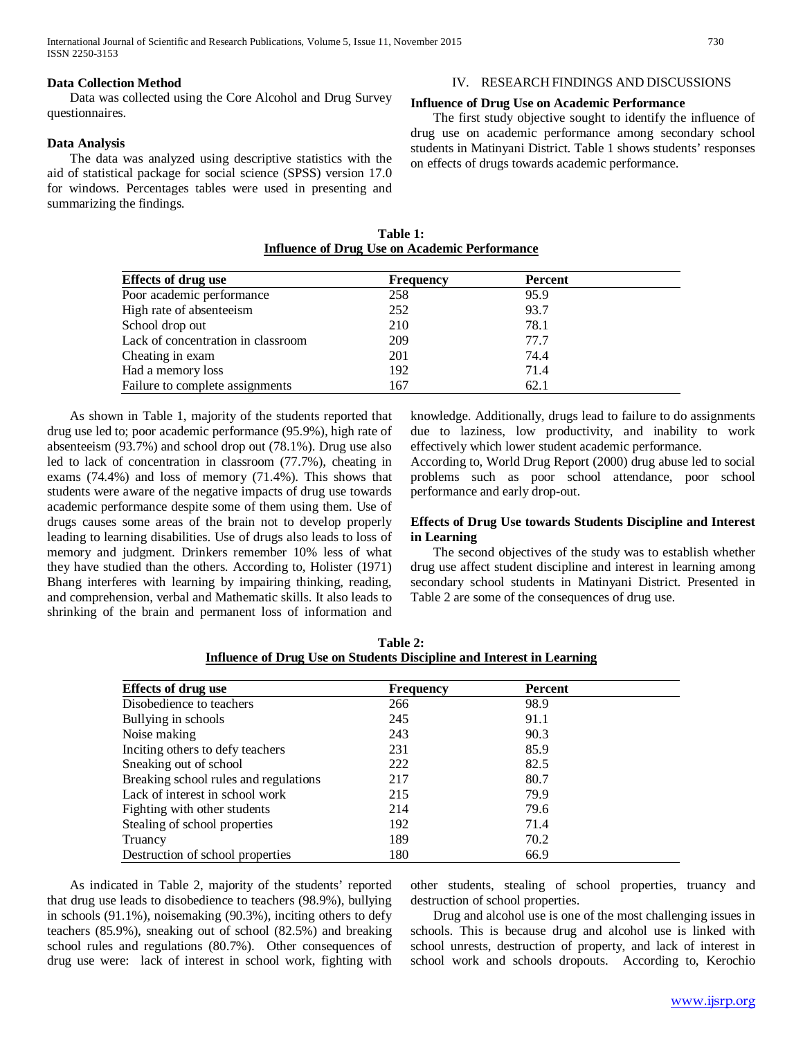#### **Data Collection Method**

 Data was collected using the Core Alcohol and Drug Survey questionnaires.

#### **Data Analysis**

 The data was analyzed using descriptive statistics with the aid of statistical package for social science (SPSS) version 17.0 for windows. Percentages tables were used in presenting and summarizing the findings.

# IV. RESEARCH FINDINGS AND DISCUSSIONS

### **Influence of Drug Use on Academic Performance**

 The first study objective sought to identify the influence of drug use on academic performance among secondary school students in Matinyani District. Table 1 shows students' responses on effects of drugs towards academic performance.

| Table 1:                                             |  |  |  |  |
|------------------------------------------------------|--|--|--|--|
| <b>Influence of Drug Use on Academic Performance</b> |  |  |  |  |

| <b>Effects of drug use</b>         | <b>Frequency</b> | <b>Percent</b> |  |
|------------------------------------|------------------|----------------|--|
| Poor academic performance          | 258              | 95.9           |  |
| High rate of absenteeism           | 252              | 93.7           |  |
| School drop out                    | 210              | 78.1           |  |
| Lack of concentration in classroom | 209              | 77.7           |  |
| Cheating in exam                   | 201              | 74.4           |  |
| Had a memory loss                  | 192              | 71.4           |  |
| Failure to complete assignments    | 167              | 62.1           |  |

 As shown in Table 1, majority of the students reported that drug use led to; poor academic performance (95.9%), high rate of absenteeism (93.7%) and school drop out (78.1%). Drug use also led to lack of concentration in classroom (77.7%), cheating in exams (74.4%) and loss of memory (71.4%). This shows that students were aware of the negative impacts of drug use towards academic performance despite some of them using them. Use of drugs causes some areas of the brain not to develop properly leading to learning disabilities. Use of drugs also leads to loss of memory and judgment. Drinkers remember 10% less of what they have studied than the others. According to, Holister (1971) Bhang interferes with learning by impairing thinking, reading, and comprehension, verbal and Mathematic skills. It also leads to shrinking of the brain and permanent loss of information and knowledge. Additionally, drugs lead to failure to do assignments due to laziness, low productivity, and inability to work effectively which lower student academic performance.

According to, World Drug Report (2000) drug abuse led to social problems such as poor school attendance, poor school performance and early drop-out.

## **Effects of Drug Use towards Students Discipline and Interest in Learning**

 The second objectives of the study was to establish whether drug use affect student discipline and interest in learning among secondary school students in Matinyani District. Presented in Table 2 are some of the consequences of drug use.

| <b>Effects of drug use</b>            | <b>Frequency</b> | Percent |  |
|---------------------------------------|------------------|---------|--|
| Disobedience to teachers              | 266              | 98.9    |  |
| Bullying in schools                   | 245              | 91.1    |  |
| Noise making                          | 243              | 90.3    |  |
| Inciting others to defy teachers      | 231              | 85.9    |  |
| Sneaking out of school                | 222              | 82.5    |  |
| Breaking school rules and regulations | 217              | 80.7    |  |
| Lack of interest in school work       | 215              | 79.9    |  |
| Fighting with other students          | 214              | 79.6    |  |
| Stealing of school properties         | 192              | 71.4    |  |
| Truancy                               | 189              | 70.2    |  |
| Destruction of school properties      | 180              | 66.9    |  |

**Table 2: Influence of Drug Use on Students Discipline and Interest in Learning**

 As indicated in Table 2, majority of the students' reported that drug use leads to disobedience to teachers (98.9%), bullying in schools (91.1%), noisemaking (90.3%), inciting others to defy teachers (85.9%), sneaking out of school (82.5%) and breaking school rules and regulations (80.7%). Other consequences of drug use were: lack of interest in school work, fighting with

other students, stealing of school properties, truancy and destruction of school properties.

 Drug and alcohol use is one of the most challenging issues in schools. This is because drug and alcohol use is linked with school unrests, destruction of property, and lack of interest in school work and schools dropouts. According to, Kerochio